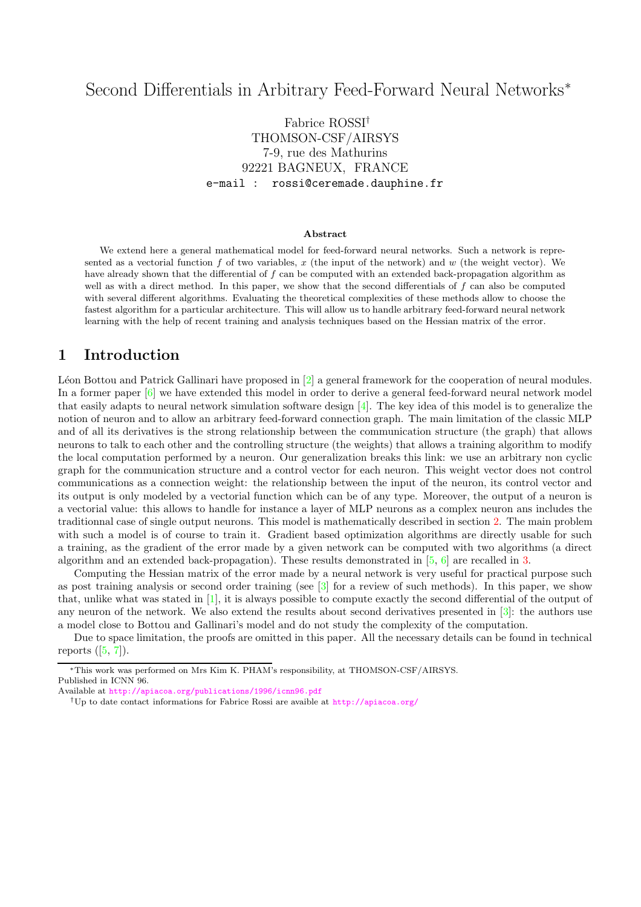# Second Differentials in Arbitrary Feed-Forward Neural Networks<sup>∗</sup>

# Fabrice ROSSI† THOMSON-CSF/AIRSYS 7-9, rue des Mathurins 92221 BAGNEUX, FRANCE e-mail : rossi@ceremade.dauphine.fr

#### Abstract

We extend here a general mathematical model for feed-forward neural networks. Such a network is represented as a vectorial function f of two variables, x (the input of the network) and w (the weight vector). We have already shown that the differential of f can be computed with an extended back-propagation algorithm as well as with a direct method. In this paper, we show that the second differentials of  $f$  can also be computed with several different algorithms. Evaluating the theoretical complexities of these methods allow to choose the fastest algorithm for a particular architecture. This will allow us to handle arbitrary feed-forward neural network learning with the help of recent training and analysis techniques based on the Hessian matrix of the error.

## 1 Introduction

Léon Bottou and Patrick Gallinari have proposed in  $[2]$  a general framework for the cooperation of neural modules. In a former paper [\[6\]](#page-6-1) we have extended this model in order to derive a general feed-forward neural network model that easily adapts to neural network simulation software design [\[4\]](#page-6-2). The key idea of this model is to generalize the notion of neuron and to allow an arbitrary feed-forward connection graph. The main limitation of the classic MLP and of all its derivatives is the strong relationship between the communication structure (the graph) that allows neurons to talk to each other and the controlling structure (the weights) that allows a training algorithm to modify the local computation performed by a neuron. Our generalization breaks this link: we use an arbitrary non cyclic graph for the communication structure and a control vector for each neuron. This weight vector does not control communications as a connection weight: the relationship between the input of the neuron, its control vector and its output is only modeled by a vectorial function which can be of any type. Moreover, the output of a neuron is a vectorial value: this allows to handle for instance a layer of MLP neurons as a complex neuron ans includes the traditionnal case of single output neurons. This model is mathematically described in section [2.](#page-1-0) The main problem with such a model is of course to train it. Gradient based optimization algorithms are directly usable for such a training, as the gradient of the error made by a given network can be computed with two algorithms (a direct algorithm and an extended back-propagation). These results demonstrated in [\[5,](#page-6-3) [6\]](#page-6-1) are recalled in [3.](#page-3-0)

Computing the Hessian matrix of the error made by a neural network is very useful for practical purpose such as post training analysis or second order training (see  $\lceil 3 \rceil$  for a review of such methods). In this paper, we show that, unlike what was stated in [\[1\]](#page-6-5), it is always possible to compute exactly the second differential of the output of any neuron of the network. We also extend the results about second derivatives presented in [\[3\]](#page-6-4): the authors use a model close to Bottou and Gallinari's model and do not study the complexity of the computation.

Due to space limitation, the proofs are omitted in this paper. All the necessary details can be found in technical reports  $([5, 7])$  $([5, 7])$  $([5, 7])$  $([5, 7])$  $([5, 7])$ .

<sup>∗</sup>This work was performed on Mrs Kim K. PHAM's responsibility, at THOMSON-CSF/AIRSYS. Published in ICNN 96.

Available at <http://apiacoa.org/publications/1996/icnn96.pdf>

<sup>†</sup>Up to date contact informations for Fabrice Rossi are avaible at <http://apiacoa.org/>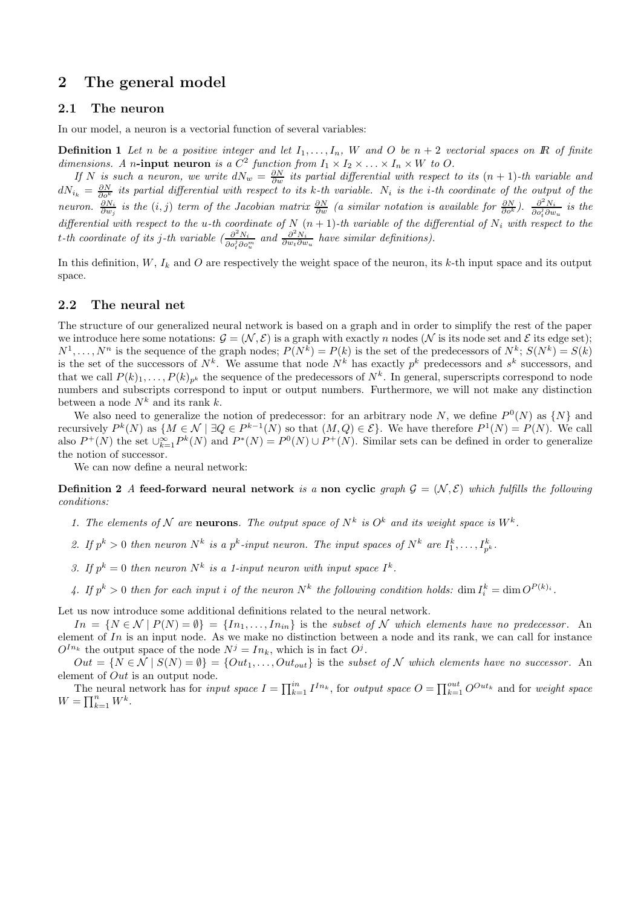# <span id="page-1-0"></span>2 The general model

### 2.1 The neuron

In our model, a neuron is a vectorial function of several variables:

**Definition 1** Let n be a positive integer and let  $I_1, \ldots, I_n$ , W and O be  $n + 2$  vectorial spaces on R of finite dimensions. A n-input neuron is a  $C^2$  function from  $I_1 \times I_2 \times \ldots \times I_n \times W$  to O.

If N is such a neuron, we write  $dN_w = \frac{\partial N}{\partial w}$  its partial differential with respect to its  $(n + 1)$ -th variable and  $dN_{i_k} = \frac{\partial N}{\partial o^k}$  its partial differential with respect to its k-th variable.  $N_i$  is the i-th coordinate of the output of the neuron.  $\frac{\partial N_i}{\partial w_j}$  is the  $(i, j)$  term of the Jacobian matrix  $\frac{\partial N}{\partial w}$  (a similar notation is available for  $\frac{\partial N}{\partial o^k}$ ).  $\frac{\partial^2 N_i}{\partial o_i^j \partial w}$  $\frac{\partial^{-N}i}{\partial o_t^j \partial w_u}$  is the differential with respect to the u-th coordinate of N  $(n + 1)$ -th variable of the differential of N<sub>i</sub> with respect to the t-th coordinate of its j-th variable  $\left(\frac{\partial^2 N_i}{\partial x_i \partial y_j} \right)$  $\frac{\partial^2 N_i}{\partial o_i^j \partial o_w^m}$  and  $\frac{\partial^2 N_i}{\partial w_i \partial w_u}$  have similar definitions).

In this definition,  $W$ ,  $I_k$  and  $O$  are respectively the weight space of the neuron, its k-th input space and its output space.

### 2.2 The neural net

The structure of our generalized neural network is based on a graph and in order to simplify the rest of the paper we introduce here some notations:  $\mathcal{G} = (\mathcal{N}, \mathcal{E})$  is a graph with exactly n nodes  $(\mathcal{N})$  is its node set and  $\mathcal{E}$  its edge set);  $N^1, \ldots, N^n$  is the sequence of the graph nodes;  $P(N^k) = P(k)$  is the set of the predecessors of  $N^k$ ;  $S(N^k) = S(k)$ is the set of the successors of  $N^k$ . We assume that node  $N^k$  has exactly  $p^k$  predecessors and  $s^k$  successors, and that we call  $P(k)_1, \ldots, P(k)_{p^k}$  the sequence of the predecessors of  $N^k$ . In general, superscripts correspond to node numbers and subscripts correspond to input or output numbers. Furthermore, we will not make any distinction between a node  ${\cal N}^k$  and its rank  $k.$ 

We also need to generalize the notion of predecessor: for an arbitrary node N, we define  $P^0(N)$  as  $\{N\}$  and recursively  $P^k(N)$  as  $\{M \in \mathcal{N} \mid \exists Q \in P^{k-1}(N) \text{ so that } (M,Q) \in \mathcal{E}\}\.$  We have therefore  $P^1(N) = P(N)$ . We call also  $P^+(N)$  the set  $\bigcup_{k=1}^{\infty} P^k(N)$  and  $P^*(N) = P^0(N) \cup P^+(N)$ . Similar sets can be defined in order to generalize the notion of successor.

We can now define a neural network:

**Definition 2** A feed-forward neural network is a non cyclic graph  $\mathcal{G} = (\mathcal{N}, \mathcal{E})$  which fulfills the following conditions:

- 1. The elements of N are neurons. The output space of  $N^k$  is  $O^k$  and its weight space is  $W^k$ .
- 2. If  $p^k > 0$  then neuron  $N^k$  is a  $p^k$ -input neuron. The input spaces of  $N^k$  are  $I_1^k, \ldots, I_{p^k}^k$ .
- 3. If  $p^k = 0$  then neuron  $N^k$  is a 1-input neuron with input space  $I^k$ .
- 4. If  $p^k > 0$  then for each input i of the neuron  $N^k$  the following condition holds:  $\dim I_i^k = \dim O^{P(k)_i}$ .

Let us now introduce some additional definitions related to the neural network.

 $In = \{N \in \mathcal{N} \mid P(N) = \emptyset\} = \{In_1, \ldots, In_{in}\}$  is the subset of N which elements have no predecessor. An element of  $In$  is an input node. As we make no distinction between a node and its rank, we can call for instance  $O^{I_{n_k}}$  the output space of the node  $N^j = In_k$ , which is in fact  $O^j$ .

 $Out = \{N \in \mathcal{N} \mid S(N) = \emptyset\} = \{Out_1, \ldots, Out_{out}\}$  is the subset of N which elements have no successor. An element of Out is an output node.

The neural network has for *input space*  $I = \prod_{k=1}^{in} I^{In_k}$ , for *output space*  $O = \prod_{k=1}^{out} O^{Out_k}$  and for *weight space*  $W = \prod_{k=1}^n W^k$ .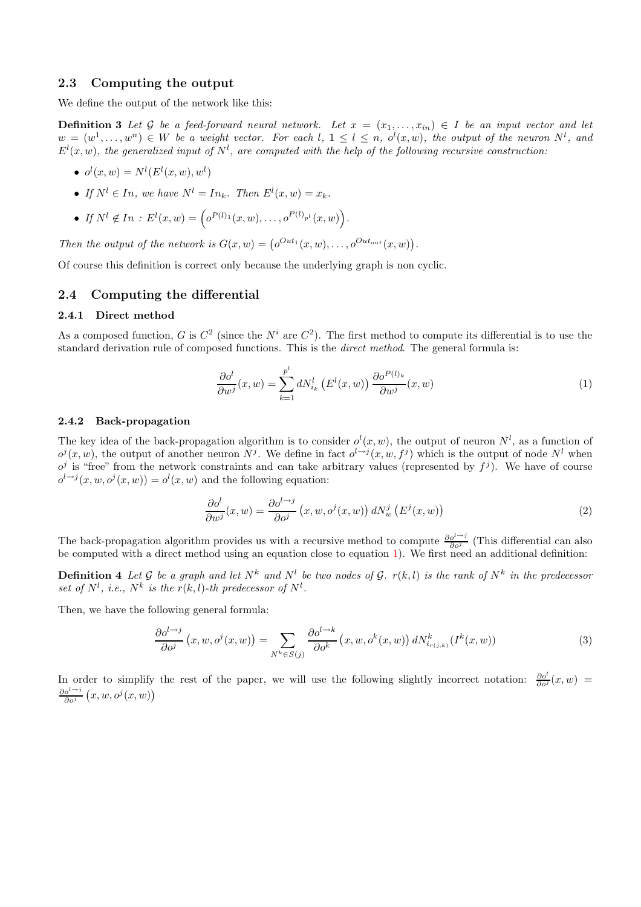### 2.3 Computing the output

We define the output of the network like this:

**Definition 3** Let G be a feed-forward neural network. Let  $x = (x_1, \ldots, x_{in}) \in I$  be an input vector and let  $w = (w^1, \ldots, w^n) \in W$  be a weight vector. For each  $l, 1 \leq l \leq n, o^l(x, w)$ , the output of the neuron  $N^l$ , and  $E^l(x, w)$ , the generalized input of  $N^l$ , are computed with the help of the following recursive construction:

- $o^{l}(x, w) = N^{l}(E^{l}(x, w), w^{l})$
- If  $N^l \in In$ , we have  $N^l = In_k$ . Then  $E^l(x, w) = x_k$ .
- If  $N^l \notin In : E^l(x, w) = \left( o^{P(l)_1}(x, w), \ldots, o^{P(l)_{p^l}}(x, w) \right).$

Then the output of the network is  $G(x, w) = \left( o^{Out_1}(x, w), \ldots, o^{Out_{out}}(x, w) \right)$ .

Of course this definition is correct only because the underlying graph is non cyclic.

### 2.4 Computing the differential

#### 2.4.1 Direct method

As a composed function, G is  $C^2$  (since the  $N^i$  are  $C^2$ ). The first method to compute its differential is to use the standard derivation rule of composed functions. This is the direct method. The general formula is:

<span id="page-2-0"></span>
$$
\frac{\partial o^l}{\partial w^j}(x, w) = \sum_{k=1}^{p^l} dN_{i_k}^l \left( E^l(x, w) \right) \frac{\partial o^{P(l)_k}}{\partial w^j}(x, w) \tag{1}
$$

#### 2.4.2 Back-propagation

The key idea of the back-propagation algorithm is to consider  $o^l(x, w)$ , the output of neuron  $N^l$ , as a function of  $o^j(x, w)$ , the output of another neuron N<sup>j</sup>. We define in fact  $o^{l \to j}(x, w, f^j)$  which is the output of node N<sup>l</sup> when  $o^j$  is "free" from the network constraints and can take arbitrary values (represented by  $f^j$ ). We have of course  $o^{l\rightarrow j}(x, w, o^j(x, w)) = o^l(x, w)$  and the following equation:

$$
\frac{\partial o^l}{\partial w^j}(x, w) = \frac{\partial o^{l \to j}}{\partial o^j}(x, w, o^j(x, w)) dN_w^j(E^j(x, w))
$$
\n(2)

<span id="page-2-1"></span>The back-propagation algorithm provides us with a recursive method to compute  $\frac{\partial o^{i\rightarrow j}}{\partial q^j}$  $\frac{\partial^{\sigma}}{\partial \rho^j}$  (This differential can also be computed with a direct method using an equation close to equation [1\)](#page-2-0). We first need an additional definition:

**Definition 4** Let G be a graph and let  $N^k$  and  $N^l$  be two nodes of G.  $r(k, l)$  is the rank of  $N^k$  in the predecessor set of  $N^l$ , i.e.,  $N^k$  is the  $r(k, l)$ -th predecessor of  $N^l$ .

<span id="page-2-2"></span>Then, we have the following general formula:

$$
\frac{\partial o^{l \to j}}{\partial o^j}(x, w, o^j(x, w)) = \sum_{N^k \in S(j)} \frac{\partial o^{l \to k}}{\partial o^k}(x, w, o^k(x, w)) dN^k_{i_{r(j,k)}}(I^k(x, w)) \tag{3}
$$

In order to simplify the rest of the paper, we will use the following slightly incorrect notation:  $\frac{\partial o^l}{\partial \alpha^l}$  $\frac{\partial o^{\epsilon}}{\partial o^j}(x,w) =$  $\partial o^{l\rightarrow j}$  $\frac{\partial^{i\rightarrow j}}{\partial o^j}(x, w, o^j(x, w))$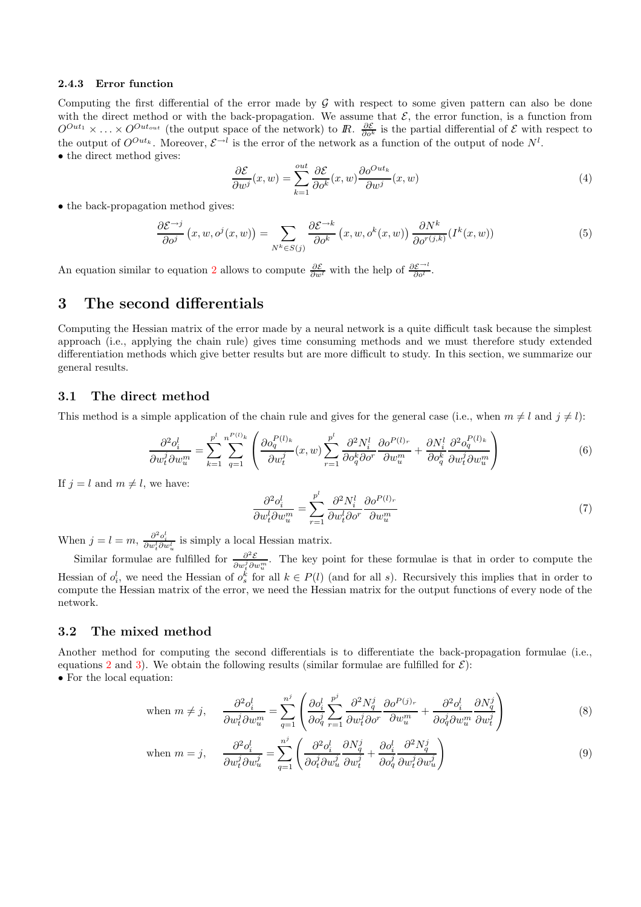#### 2.4.3 Error function

Computing the first differential of the error made by  $G$  with respect to some given pattern can also be done with the direct method or with the back-propagation. We assume that  $\mathcal{E}$ , the error function, is a function from  $O^{Out_1} \times \ldots \times O^{Out_{out}}$  (the output space of the network) to R.  $\frac{\partial \mathcal{E}}{\partial o^k}$  is the partial differential of  $\mathcal{E}$  with respect to the output of  $O^{Out_k}$ . Moreover,  $\mathcal{E}^{\rightarrow l}$  is the error of the network as a function of the output of node  $N^l$ . • the direct method gives:

$$
\frac{\partial \mathcal{E}}{\partial w^j}(x, w) = \sum_{k=1}^{\text{out}} \frac{\partial \mathcal{E}}{\partial o^k}(x, w) \frac{\partial o^{Out_k}}{\partial w^j}(x, w) \tag{4}
$$

• the back-propagation method gives:

$$
\frac{\partial \mathcal{E}^{\rightarrow j}}{\partial o^j}(x, w, o^j(x, w)) = \sum_{N^k \in S(j)} \frac{\partial \mathcal{E}^{\rightarrow k}}{\partial o^k}(x, w, o^k(x, w)) \frac{\partial N^k}{\partial o^{r(j,k)}}(I^k(x, w)) \tag{5}
$$

An equation similar to equation [2](#page-2-1) allows to compute  $\frac{\partial \mathcal{E}}{\partial w^l}$  with the help of  $\frac{\partial \mathcal{E}}{\partial o^l}$ .

# <span id="page-3-0"></span>3 The second differentials

Computing the Hessian matrix of the error made by a neural network is a quite difficult task because the simplest approach (i.e., applying the chain rule) gives time consuming methods and we must therefore study extended differentiation methods which give better results but are more difficult to study. In this section, we summarize our general results.

### 3.1 The direct method

This method is a simple application of the chain rule and gives for the general case (i.e., when  $m \neq l$  and  $j \neq l$ ):

$$
\frac{\partial^2 o_i^l}{\partial w_i^j \partial w_u^m} = \sum_{k=1}^{p^l} \sum_{q=1}^{n^{P(l)_k}} \left( \frac{\partial o_q^{P(l)_k}}{\partial w_i^j} (x, w) \sum_{r=1}^{p^l} \frac{\partial^2 N_i^l}{\partial o_q^k \partial o^r} \frac{\partial o^{P(l)_r}}{\partial w_u^m} + \frac{\partial N_i^l}{\partial o_q^k} \frac{\partial^2 o_q^{P(l)_k}}{\partial w_i^j \partial w_u^m} \right) \tag{6}
$$

If  $i = l$  and  $m \neq l$ , we have:

$$
\frac{\partial^2 o_i^l}{\partial w_t^l \partial w_u^m} = \sum_{r=1}^{p^l} \frac{\partial^2 N_i^l}{\partial w_t^l \partial v^r} \frac{\partial o^{P(l)_r}}{\partial w_u^m} \tag{7}
$$

When  $j = l = m$ ,  $\frac{\partial^2 o_i^l}{\partial w_i^l \partial w_u^l}$  is simply a local Hessian matrix.

Similar formulae are fulfilled for  $\frac{\partial^2 \mathcal{E}}{\partial x \partial y}$  $\frac{\partial^2 \mathcal{E}}{\partial w_i^j \partial w_i^m}$ . The key point for these formulae is that in order to compute the Hessian of  $o_i^l$ , we need the Hessian of  $o_s^k$  for all  $k \in P(l)$  (and for all s). Recursively this implies that in order to compute the Hessian matrix of the error, we need the Hessian matrix for the output functions of every node of the network.

#### 3.2 The mixed method

<span id="page-3-1"></span>Another method for computing the second differentials is to differentiate the back-propagation formulae (i.e., equations [2](#page-2-1) and [3\)](#page-2-2). We obtain the following results (similar formulae are fulfilled for  $\mathcal{E}$ ): • For the local equation:

$$
\text{when } m \neq j, \quad \frac{\partial^2 o_i^l}{\partial w_t^j \partial w_u^m} = \sum_{q=1}^{n^j} \left( \frac{\partial o_i^l}{\partial o_q^j} \sum_{r=1}^{p^j} \frac{\partial^2 N_q^j}{\partial w_t^j \partial o^r} \frac{\partial o^{P(j)_r}}{\partial w_u^m} + \frac{\partial^2 o_i^l}{\partial o_q^j \partial w_u^m} \frac{\partial N_q^j}{\partial w_t^j} \right) \tag{8}
$$

when 
$$
m = j
$$
, 
$$
\frac{\partial^2 o_i^l}{\partial w_t^j \partial w_u^j} = \sum_{q=1}^{n^j} \left( \frac{\partial^2 o_i^l}{\partial o_t^j \partial w_u^j} \frac{\partial N_q^j}{\partial w_t^j} + \frac{\partial o_i^l}{\partial o_q^j} \frac{\partial^2 N_q^j}{\partial w_t^j \partial w_u^j} \right)
$$
(9)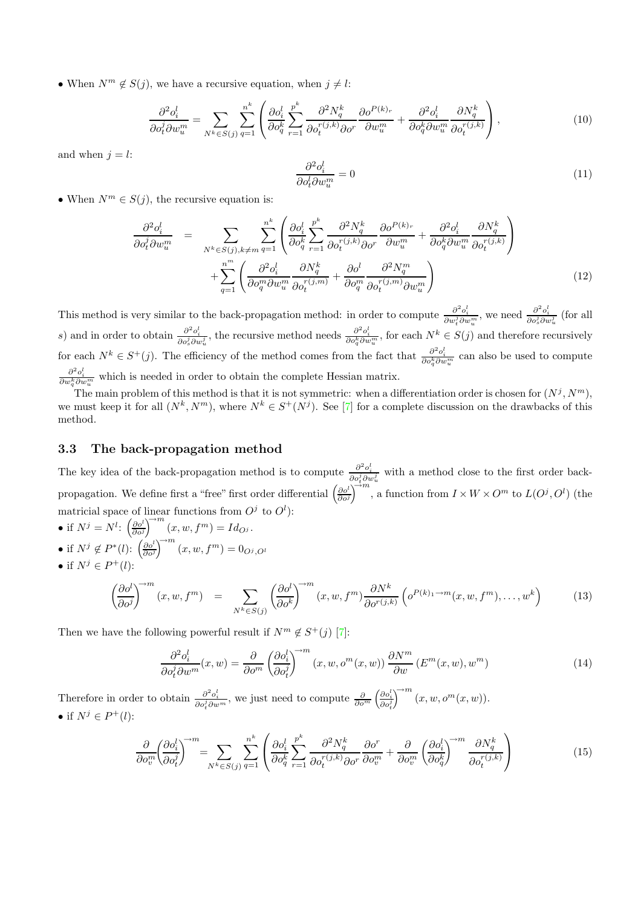• When  $N^m \notin S(j)$ , we have a recursive equation, when  $j \neq l$ :

$$
\frac{\partial^2 o_i^l}{\partial o_i^j \partial w_u^m} = \sum_{N^k \in S(j)} \sum_{q=1}^{n^k} \left( \frac{\partial o_i^l}{\partial o_q^k} \sum_{r=1}^{p^k} \frac{\partial^2 N_q^k}{\partial o_t^{r(j,k)} \partial o^r} \frac{\partial o^{P(k)_r}}{\partial w_u^m} + \frac{\partial^2 o_i^l}{\partial o_q^k \partial w_u^m} \frac{\partial N_q^k}{\partial o_t^{r(j,k)}} \right),\tag{10}
$$

and when  $j = l$ :

$$
\frac{\partial^2 o_i^l}{\partial o_i^l \partial w_u^m} = 0 \tag{11}
$$

• When  $N^m \in S(j)$ , the recursive equation is:

$$
\frac{\partial^2 o_i^l}{\partial o_t^j \partial w_u^m} = \sum_{N^k \in S(j), k \neq m} \sum_{q=1}^{n^k} \left( \frac{\partial o_i^l}{\partial o_q^k} \sum_{r=1}^{p^k} \frac{\partial^2 N_q^k}{\partial o_t^{r(j,k)} \partial o^r} \frac{\partial o^{P(k)_r}}{\partial w_u^m} + \frac{\partial^2 o_i^l}{\partial o_q^k \partial w_u^m} \frac{\partial N_q^k}{\partial o_t^{r(j,k)}} \right) + \sum_{q=1}^{n^m} \left( \frac{\partial^2 o_i^l}{\partial o_q^m \partial w_u^m} \frac{\partial N_q^k}{\partial o_t^{r(j,m)}} + \frac{\partial o^l}{\partial o_q^m} \frac{\partial^2 N_q^m}{\partial o_t^{r(j,m)} \partial w_u^m} \right) \tag{12}
$$

This method is very similar to the back-propagation method: in order to compute  $\frac{\partial^2 o_i^l}{\partial w_i^j \partial w_i^m}$ , we need  $\frac{\partial^2 o_i^l}{\partial o_s^j \partial w_u^j}$  (for all s) and in order to obtain  $\frac{\partial^2 o_i^l}{\partial o_s^j \partial w_u^j}$ , the recursive method needs  $\frac{\partial^2 o_i^l}{\partial o_q^k \partial w_u^m}$ , for each  $N^k \in S(j)$  and therefore recursively for each  $N^k \in S^+(j)$ . The efficiency of the method comes from the fact that  $\frac{\partial^2 o_i^l}{\partial o_q^k \partial w_u^m}$  can also be used to compute  $\frac{\partial^2 o_i^l}{\partial w_q^k \partial w_u^m}$  which is needed in order to obtain the complete Hessian matrix.

The main problem of this method is that it is not symmetric: when a differentiation order is chosen for  $(N^{j}, N^{m})$ , we must keep it for all  $(N^k, N^m)$ , where  $N^k \in S^+(N^j)$ . See [\[7\]](#page-6-6) for a complete discussion on the drawbacks of this method.

### 3.3 The back-propagation method

The key idea of the back-propagation method is to compute  $\frac{\partial^2 o_i^l}{\partial o_i^j \partial w_u^j}$  with a method close to the first order backpropagation. We define first a "free" first order differential  $\left(\frac{\partial o^1}{\partial \phi^2}\right)$  $\frac{\partial o^l}{\partial o^j} \bigg)^{\sim m}$ , a function from  $I \times W \times O^m$  to  $L(O^j, O^l)$  (the matricial space of linear functions from  $O<sup>j</sup>$  to  $O<sup>l</sup>$ ):

- if  $N^j = N^l$ :  $\left(\frac{\partial o^l}{\partial \rho^j}\right)$  $\frac{\partial o^l}{\partial o^j}$ <sup>→*m*</sup>  $(x, w, f^m) = Id_{O^j}.$
- if  $N^j \notin P^*(l)$ :  $\left(\frac{\partial o^l}{\partial o^j}\right)$  $\left(\frac{\partial o^l}{\partial o^j}\right)^{\rightarrow m}(x, w, f^m) = 0_{O^j, O^l}$
- if  $N^j \in P^+(l)$ :

$$
\left(\frac{\partial o^l}{\partial o^j}\right)^{\rightarrow m}(x, w, f^m) = \sum_{N^k \in S(j)} \left(\frac{\partial o^l}{\partial o^k}\right)^{\rightarrow m}(x, w, f^m) \frac{\partial N^k}{\partial o^{r(j,k)}} \left(o^{P(k)_1 \rightarrow m}(x, w, f^m), \dots, w^k\right)
$$
(13)

Then we have the following powerful result if  $N^m \notin S^+(j)$  [\[7\]](#page-6-6):

$$
\frac{\partial^2 o_i^l}{\partial o_i^j \partial w^m}(x, w) = \frac{\partial}{\partial o^m} \left(\frac{\partial o_i^l}{\partial o_i^j}\right)^{-m} (x, w, o^m(x, w)) \frac{\partial N^m}{\partial w} (E^m(x, w), w^m)
$$
(14)

<span id="page-4-1"></span><span id="page-4-0"></span>Therefore in order to obtain  $\frac{\partial^2 o_i^l}{\partial o_i^j \partial w^m}$ , we just need to compute  $\frac{\partial}{\partial o^m} \left( \frac{\partial o_i^l}{\partial o_i^j} \right)$  $\bigcap^m (x, w, o^m(x, w)).$ • if  $N^j \in P^+(l)$ :

$$
\frac{\partial}{\partial o_v^m} \left(\frac{\partial o_i^l}{\partial o_t^j}\right)^{\rightarrow m} = \sum_{N^k \in S(j)} \sum_{q=1}^{n^k} \left( \frac{\partial o_i^l}{\partial o_q^k} \sum_{r=1}^{p^k} \frac{\partial^2 N_q^k}{\partial o_t^{r(j,k)} \partial o_r} \frac{\partial o_r^r}{\partial o_v^m} + \frac{\partial}{\partial o_v^m} \left(\frac{\partial o_i^l}{\partial o_q^k}\right)^{\rightarrow m} \frac{\partial N_q^k}{\partial o_t^{r(j,k)}} \right) \tag{15}
$$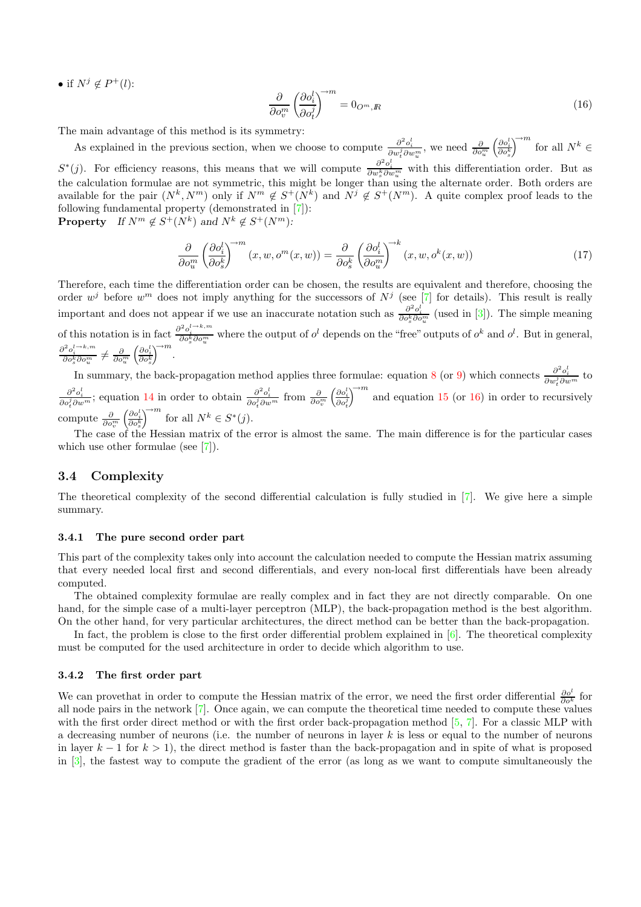• if  $N^j \notin P^+(l)$ :

<span id="page-5-0"></span>
$$
\frac{\partial}{\partial o_v^m} \left( \frac{\partial o_i^l}{\partial o_v^j} \right)^{\to m} = 0_{O^m, R} \tag{16}
$$

The main advantage of this method is its symmetry:

As explained in the previous section, when we choose to compute  $\frac{\partial^2 o_i^l}{\partial w_i^j \partial w_i^m}$ , we need  $\frac{\partial}{\partial o_i^m} \left( \frac{\partial o_i^l}{\partial o_s^k} \right)$  $\bigcap^{m}$  for all  $N^k \in$  $S^*(j)$ . For efficiency reasons, this means that we will compute  $\frac{\partial^2 o_i^l}{\partial w_s^k \partial w_u^m}$  with this differentiation order. But as the calculation formulae are not symmetric, this might be longer than using the alternate order. Both orders are available for the pair  $(N^k, N^m)$  only if  $N^m \notin S^+(N^k)$  and  $N^j \notin S^+(N^m)$ . A quite complex proof leads to the following fundamental property (demonstrated in [\[7\]](#page-6-6)):

**Property** If  $N^m \notin S^+(N^k)$  and  $N^k \notin S^+(N^m)$ :

$$
\frac{\partial}{\partial o_i^m} \left( \frac{\partial o_i^l}{\partial o_s^k} \right)^{\rightarrow m} (x, w, o^m(x, w)) = \frac{\partial}{\partial o_s^k} \left( \frac{\partial o_i^l}{\partial o_i^m} \right)^{\rightarrow k} (x, w, o^k(x, w)) \tag{17}
$$

Therefore, each time the differentiation order can be chosen, the results are equivalent and therefore, choosing the order  $w^j$  before  $w^m$  does not imply anything for the successors of  $N^j$  (see [\[7\]](#page-6-6) for details). This result is really important and does not appear if we use an inaccurate notation such as  $\frac{\partial^2 o_i^l}{\partial o_s^k \partial o_u^m}$  (used in [\[3\]](#page-6-4)). The simple meaning of this notation is in fact  $\frac{\partial^2 o_i^{l \to k,m}}{\partial o_s^k \partial o_u^m}$  where the output of  $o^l$  depends on the "free" outputs of  $o^k$  and  $o^l$ . But in general,  $\frac{\partial^2 o_i^{l \to k,m}}{\partial o_s^k \partial o_u^m} \neq \frac{\partial}{\partial o_u^m} \left( \frac{\partial o_i^l}{\partial o_s^k} \right)^{\to m}$ .

In summary, the back-propagation method applies three formulae: equation [8](#page-3-1) (or [9\)](#page-3-1) which connects  $\frac{\partial^2 o_i^l}{\partial w_i^j \partial w^m}$  to  $2-l$  $\frac{\partial^2 o_i^l}{\partial o_i^j \partial w^m}$ ; equation [14](#page-4-0) in order to obtain  $\frac{\partial^2 o_i^l}{\partial o_i^j \partial w^m}$  from  $\frac{\partial}{\partial o_v^m} \left( \frac{\partial o_i^l}{\partial o_v^j} \right)^{\rightarrow m}$  and equation 15 (or 16) in order to recu  $\int_{0}^{\infty}$  and equation [15](#page-4-1) (or [16\)](#page-5-0) in order to recursively compute  $\frac{\partial}{\partial o_v^m} \left( \frac{\partial o_i^l}{\partial o_s^k} \right)^{\rightarrow m}$  for all  $N^k \in S^*(j)$ .  $\left(\frac{\partial o_i^l}{\partial s}\right)^{\rightarrow m}$  for all  $N^k \subset S^*$ 

The case of the Hessian matrix of the error is almost the same. The main difference is for the particular cases which use other formulae (see [\[7\]](#page-6-6)).

### 3.4 Complexity

The theoretical complexity of the second differential calculation is fully studied in [\[7\]](#page-6-6). We give here a simple summary.

#### 3.4.1 The pure second order part

This part of the complexity takes only into account the calculation needed to compute the Hessian matrix assuming that every needed local first and second differentials, and every non-local first differentials have been already computed.

The obtained complexity formulae are really complex and in fact they are not directly comparable. On one hand, for the simple case of a multi-layer perceptron (MLP), the back-propagation method is the best algorithm. On the other hand, for very particular architectures, the direct method can be better than the back-propagation.

In fact, the problem is close to the first order differential problem explained in [\[6\]](#page-6-1). The theoretical complexity must be computed for the used architecture in order to decide which algorithm to use.

#### 3.4.2 The first order part

We can prove that in order to compute the Hessian matrix of the error, we need the first order differential  $\frac{\partial o^l}{\partial o^k}$  for all node pairs in the network [\[7\]](#page-6-6). Once again, we can compute the theoretical time needed to compute these values with the first order direct method or with the first order back-propagation method [\[5,](#page-6-3) [7\]](#page-6-6). For a classic MLP with a decreasing number of neurons (i.e. the number of neurons in layer k is less or equal to the number of neurons in layer  $k - 1$  for  $k > 1$ , the direct method is faster than the back-propagation and in spite of what is proposed in [\[3\]](#page-6-4), the fastest way to compute the gradient of the error (as long as we want to compute simultaneously the